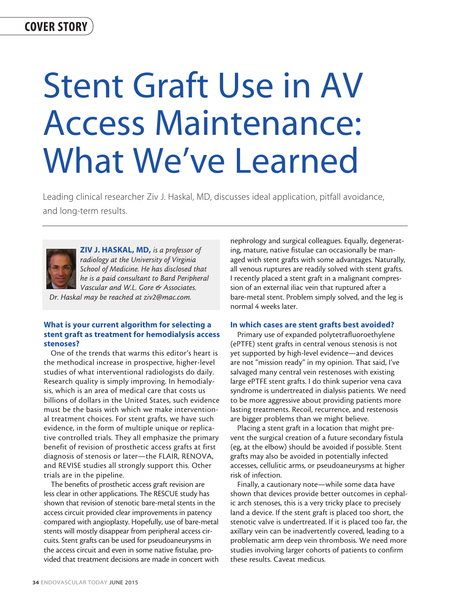# Stent Graft Use in AV Access Maintenance: What We've Learned

Leading clinical researcher Ziv J. Haskal, MD, discusses ideal application, pitfall avoidance, and long-term results.



ZIV J. HASKAL, MD, *is a professor of radiology at the University of Virginia School of Medicine. He has disclosed that he is a paid consultant to Bard Peripheral Vascular and W.L. Gore & Associates.* 

*Dr. Haskal may be reached at ziv2@mac.com.*

## What is your current algorithm for selecting a stent graft as treatment for hemodialysis access stenoses?

One of the trends that warms this editor's heart is the methodical increase in prospective, higher-level studies of what interventional radiologists do daily. Research quality is simply improving. In hemodialysis, which is an area of medical care that costs us billions of dollars in the United States, such evidence must be the basis with which we make interventional treatment choices. For stent grafts, we have such evidence, in the form of multiple unique or replicative controlled trials. They all emphasize the primary benefit of revision of prosthetic access grafts at first diagnosis of stenosis or later—the FLAIR, RENOVA, and REVISE studies all strongly support this. Other trials are in the pipeline.

The benefits of prosthetic access graft revision are less clear in other applications. The RESCUE study has shown that revision of stenotic bare-metal stents in the access circuit provided clear improvements in patency compared with angioplasty. Hopefully, use of bare-metal stents will mostly disappear from peripheral access circuits. Stent grafts can be used for pseudoaneurysms in the access circuit and even in some native fistulae, provided that treatment decisions are made in concert with nephrology and surgical colleagues. Equally, degenerating, mature, native fistulae can occasionally be managed with stent grafts with some advantages. Naturally, all venous ruptures are readily solved with stent grafts. I recently placed a stent graft in a malignant compression of an external iliac vein that ruptured after a bare-metal stent. Problem simply solved, and the leg is normal 4 weeks later.

#### In which cases are stent grafts best avoided?

Primary use of expanded polytetrafluoroethylene (ePTFE) stent grafts in central venous stenosis is not yet supported by high-level evidence—and devices are not "mission ready" in my opinion. That said, I've salvaged many central vein restenoses with existing large ePTFE stent grafts. I do think superior vena cava syndrome is undertreated in dialysis patients. We need to be more aggressive about providing patients more lasting treatments. Recoil, recurrence, and restenosis are bigger problems than we might believe.

Placing a stent graft in a location that might prevent the surgical creation of a future secondary fistula (eg, at the elbow) should be avoided if possible. Stent grafts may also be avoided in potentially infected accesses, cellulitic arms, or pseudoaneurysms at higher risk of infection.

Finally, a cautionary note—while some data have shown that devices provide better outcomes in cephalic arch stenoses, this is a very tricky place to precisely land a device. If the stent graft is placed too short, the stenotic valve is undertreated. If it is placed too far, the axillary vein can be inadvertently covered, leading to a problematic arm deep vein thrombosis. We need more studies involving larger cohorts of patients to confirm these results. Caveat medicus.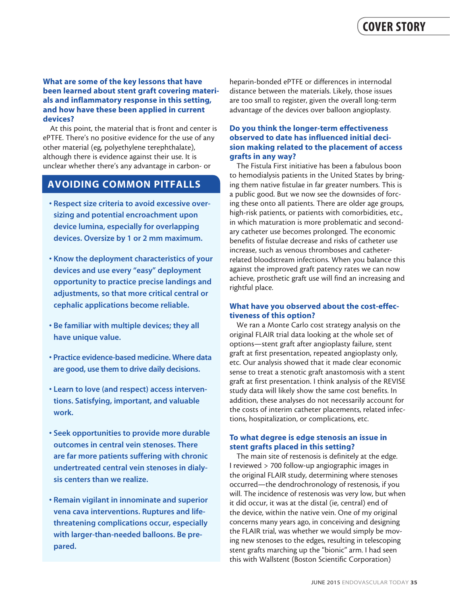### What are some of the key lessons that have been learned about stent graft covering materials and inflammatory response in this setting, and how have these been applied in current devices?

At this point, the material that is front and center is ePTFE. There's no positive evidence for the use of any other material (eg, polyethylene terephthalate), although there is evidence against their use. It is unclear whether there's any advantage in carbon- or

# AVOIDING COMMON PITFALLS

- Respect size criteria to avoid excessive oversizing and potential encroachment upon device lumina, especially for overlapping devices. Oversize by 1 or 2 mm maximum.
- Know the deployment characteristics of your devices and use every "easy" deployment opportunity to practice precise landings and adjustments, so that more critical central or cephalic applications become reliable.
- Be familiar with multiple devices; they all have unique value.
- Practice evidence-based medicine. Where data are good, use them to drive daily decisions.
- Learn to love (and respect) access interventions. Satisfying, important, and valuable work.
- Seek opportunities to provide more durable outcomes in central vein stenoses. There are far more patients suffering with chronic undertreated central vein stenoses in dialysis centers than we realize.
- Remain vigilant in innominate and superior vena cava interventions. Ruptures and lifethreatening complications occur, especially with larger-than-needed balloons. Be prepared.

heparin-bonded ePTFE or differences in internodal distance between the materials. Likely, those issues are too small to register, given the overall long-term advantage of the devices over balloon angioplasty.

#### Do you think the longer-term effectiveness observed to date has influenced initial decision making related to the placement of access grafts in any way?

The Fistula First initiative has been a fabulous boon to hemodialysis patients in the United States by bringing them native fistulae in far greater numbers. This is a public good. But we now see the downsides of forcing these onto all patients. There are older age groups, high-risk patients, or patients with comorbidities, etc., in which maturation is more problematic and secondary catheter use becomes prolonged. The economic benefits of fistulae decrease and risks of catheter use increase, such as venous thromboses and catheterrelated bloodstream infections. When you balance this against the improved graft patency rates we can now achieve, prosthetic graft use will find an increasing and rightful place.

## What have you observed about the cost-effectiveness of this option?

We ran a Monte Carlo cost strategy analysis on the original FLAIR trial data looking at the whole set of options—stent graft after angioplasty failure, stent graft at first presentation, repeated angioplasty only, etc. Our analysis showed that it made clear economic sense to treat a stenotic graft anastomosis with a stent graft at first presentation. I think analysis of the REVISE study data will likely show the same cost benefits. In addition, these analyses do not necessarily account for the costs of interim catheter placements, related infections, hospitalization, or complications, etc.

#### To what degree is edge stenosis an issue in stent grafts placed in this setting?

The main site of restenosis is definitely at the edge. I reviewed > 700 follow-up angiographic images in the original FLAIR study, determining where stenoses occurred—the dendrochronology of restenosis, if you will. The incidence of restenosis was very low, but when it did occur, it was at the distal (ie, central) end of the device, within the native vein. One of my original concerns many years ago, in conceiving and designing the FLAIR trial, was whether we would simply be moving new stenoses to the edges, resulting in telescoping stent grafts marching up the "bionic" arm. I had seen this with Wallstent (Boston Scientific Corporation)